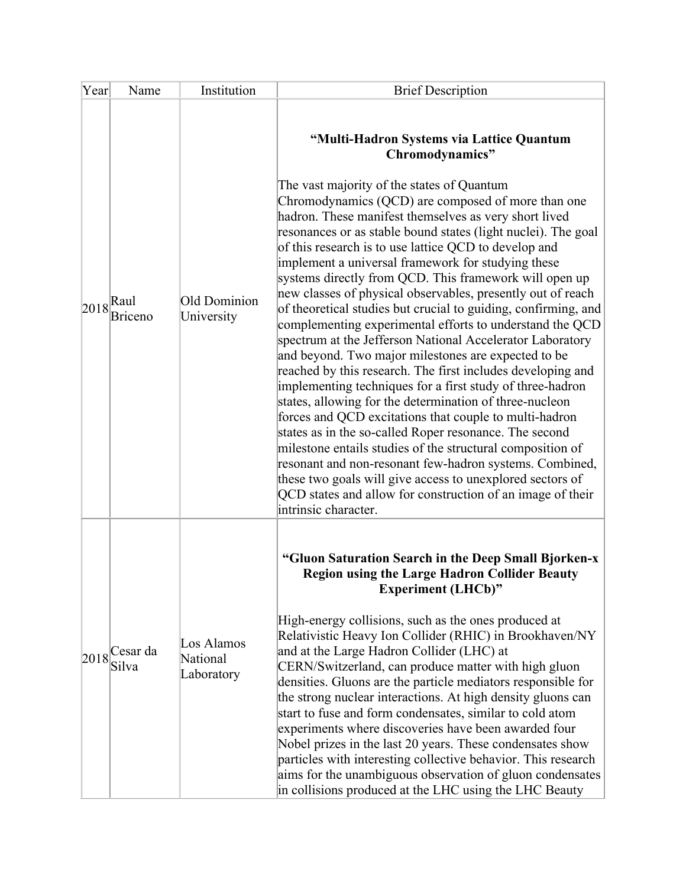| Year           | Name                                                  | Institution                          | <b>Brief Description</b>                                                                                                                                                                                                                                                                                                                                                                                                                                                                                                                                                                                                                                                                                                                                                                                                                                                                                                                                                                                                                                                                                                                                                                                                                                                                                                                                                    |
|----------------|-------------------------------------------------------|--------------------------------------|-----------------------------------------------------------------------------------------------------------------------------------------------------------------------------------------------------------------------------------------------------------------------------------------------------------------------------------------------------------------------------------------------------------------------------------------------------------------------------------------------------------------------------------------------------------------------------------------------------------------------------------------------------------------------------------------------------------------------------------------------------------------------------------------------------------------------------------------------------------------------------------------------------------------------------------------------------------------------------------------------------------------------------------------------------------------------------------------------------------------------------------------------------------------------------------------------------------------------------------------------------------------------------------------------------------------------------------------------------------------------------|
| $ 2018 $ -Raul | Briceno                                               | Old Dominion<br>University           | "Multi-Hadron Systems via Lattice Quantum<br>Chromodynamics"<br>The vast majority of the states of Quantum<br>Chromodynamics (QCD) are composed of more than one<br>hadron. These manifest themselves as very short lived<br>resonances or as stable bound states (light nuclei). The goal<br>of this research is to use lattice QCD to develop and<br>implement a universal framework for studying these<br>systems directly from QCD. This framework will open up<br>new classes of physical observables, presently out of reach<br>of theoretical studies but crucial to guiding, confirming, and<br>complementing experimental efforts to understand the QCD<br>spectrum at the Jefferson National Accelerator Laboratory<br>and beyond. Two major milestones are expected to be<br>reached by this research. The first includes developing and<br>implementing techniques for a first study of three-hadron<br>states, allowing for the determination of three-nucleon<br>forces and QCD excitations that couple to multi-hadron<br>states as in the so-called Roper resonance. The second<br>milestone entails studies of the structural composition of<br>resonant and non-resonant few-hadron systems. Combined,<br>these two goals will give access to unexplored sectors of<br>QCD states and allow for construction of an image of their<br>intrinsic character. |
|                | $\left 2018\right _{\sim}^{\text{Cesar da}}$<br>Silva | Los Alamos<br>National<br>Laboratory | "Gluon Saturation Search in the Deep Small Bjorken-x<br><b>Region using the Large Hadron Collider Beauty</b><br><b>Experiment (LHCb)"</b><br>High-energy collisions, such as the ones produced at<br>Relativistic Heavy Ion Collider (RHIC) in Brookhaven/NY<br>and at the Large Hadron Collider (LHC) at<br>CERN/Switzerland, can produce matter with high gluon<br>densities. Gluons are the particle mediators responsible for<br>the strong nuclear interactions. At high density gluons can<br>start to fuse and form condensates, similar to cold atom<br>experiments where discoveries have been awarded four<br>Nobel prizes in the last 20 years. These condensates show<br>particles with interesting collective behavior. This research<br>aims for the unambiguous observation of gluon condensates<br>in collisions produced at the LHC using the LHC Beauty                                                                                                                                                                                                                                                                                                                                                                                                                                                                                                   |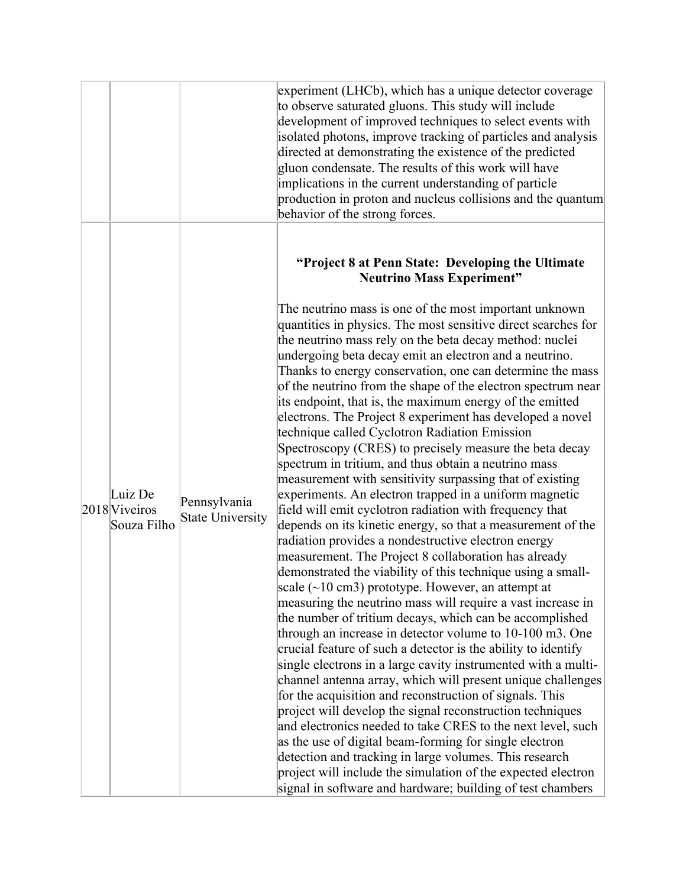|                                         |                                         | experiment (LHCb), which has a unique detector coverage<br>to observe saturated gluons. This study will include<br>development of improved techniques to select events with<br>isolated photons, improve tracking of particles and analysis<br>directed at demonstrating the existence of the predicted<br>gluon condensate. The results of this work will have<br>implications in the current understanding of particle<br>production in proton and nucleus collisions and the quantum<br>behavior of the strong forces.                                                                                                                                                                                                                                                                                                                                                                                                                                                                                                                                                                                                                                                                                                                                                                                                                                                                                                                                                                                                                                                                                                                                                                                                                                                                                                                                                                                                                                                                                                                                                                         |
|-----------------------------------------|-----------------------------------------|---------------------------------------------------------------------------------------------------------------------------------------------------------------------------------------------------------------------------------------------------------------------------------------------------------------------------------------------------------------------------------------------------------------------------------------------------------------------------------------------------------------------------------------------------------------------------------------------------------------------------------------------------------------------------------------------------------------------------------------------------------------------------------------------------------------------------------------------------------------------------------------------------------------------------------------------------------------------------------------------------------------------------------------------------------------------------------------------------------------------------------------------------------------------------------------------------------------------------------------------------------------------------------------------------------------------------------------------------------------------------------------------------------------------------------------------------------------------------------------------------------------------------------------------------------------------------------------------------------------------------------------------------------------------------------------------------------------------------------------------------------------------------------------------------------------------------------------------------------------------------------------------------------------------------------------------------------------------------------------------------------------------------------------------------------------------------------------------------|
| Luiz De<br>2018 Viveiros<br>Souza Filho | Pennsylvania<br><b>State University</b> | "Project 8 at Penn State: Developing the Ultimate<br><b>Neutrino Mass Experiment"</b><br>The neutrino mass is one of the most important unknown<br>quantities in physics. The most sensitive direct searches for<br>the neutrino mass rely on the beta decay method: nuclei<br>undergoing beta decay emit an electron and a neutrino.<br>Thanks to energy conservation, one can determine the mass<br>of the neutrino from the shape of the electron spectrum near<br>its endpoint, that is, the maximum energy of the emitted<br>electrons. The Project 8 experiment has developed a novel<br>technique called Cyclotron Radiation Emission<br>Spectroscopy (CRES) to precisely measure the beta decay<br>spectrum in tritium, and thus obtain a neutrino mass<br>measurement with sensitivity surpassing that of existing<br>experiments. An electron trapped in a uniform magnetic<br>field will emit cyclotron radiation with frequency that<br>depends on its kinetic energy, so that a measurement of the<br>radiation provides a nondestructive electron energy<br>measurement. The Project 8 collaboration has already<br>demonstrated the viability of this technique using a small-<br>scale $(\sim 10 \text{ cm}^3)$ prototype. However, an attempt at<br>measuring the neutrino mass will require a vast increase in<br>the number of tritium decays, which can be accomplished<br>through an increase in detector volume to 10-100 m3. One<br>crucial feature of such a detector is the ability to identify<br>single electrons in a large cavity instrumented with a multi-<br>channel antenna array, which will present unique challenges<br>for the acquisition and reconstruction of signals. This<br>project will develop the signal reconstruction techniques<br>and electronics needed to take CRES to the next level, such<br>as the use of digital beam-forming for single electron<br>detection and tracking in large volumes. This research<br>project will include the simulation of the expected electron<br>signal in software and hardware; building of test chambers |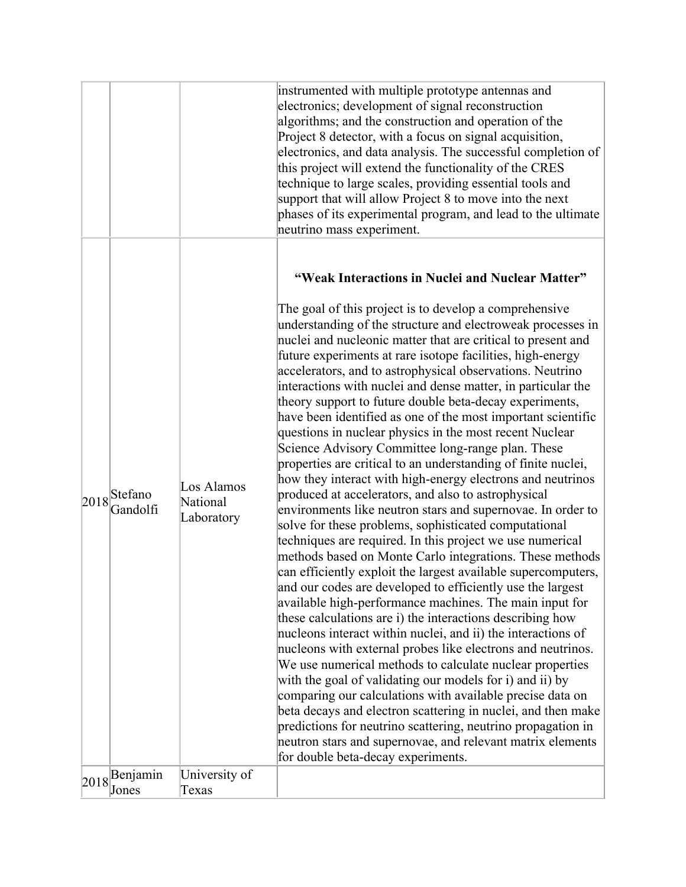|                                           |                                      | instrumented with multiple prototype antennas and<br>electronics; development of signal reconstruction<br>algorithms; and the construction and operation of the<br>Project 8 detector, with a focus on signal acquisition,<br>electronics, and data analysis. The successful completion of<br>this project will extend the functionality of the CRES<br>technique to large scales, providing essential tools and<br>support that will allow Project 8 to move into the next<br>phases of its experimental program, and lead to the ultimate<br>neutrino mass experiment.                                                                                                                                                                                                                                                                                                                                                                                                                                                                                                                                                                                                                                                                                                                                                                                                                                                                                                                                                                                                                                                                                                                                                                                                                                                                                                                        |
|-------------------------------------------|--------------------------------------|-------------------------------------------------------------------------------------------------------------------------------------------------------------------------------------------------------------------------------------------------------------------------------------------------------------------------------------------------------------------------------------------------------------------------------------------------------------------------------------------------------------------------------------------------------------------------------------------------------------------------------------------------------------------------------------------------------------------------------------------------------------------------------------------------------------------------------------------------------------------------------------------------------------------------------------------------------------------------------------------------------------------------------------------------------------------------------------------------------------------------------------------------------------------------------------------------------------------------------------------------------------------------------------------------------------------------------------------------------------------------------------------------------------------------------------------------------------------------------------------------------------------------------------------------------------------------------------------------------------------------------------------------------------------------------------------------------------------------------------------------------------------------------------------------------------------------------------------------------------------------------------------------|
| $ 2018 $ Stefano<br>Gandolfi              | Los Alamos<br>National<br>Laboratory | "Weak Interactions in Nuclei and Nuclear Matter"<br>The goal of this project is to develop a comprehensive<br>understanding of the structure and electroweak processes in<br>nuclei and nucleonic matter that are critical to present and<br>future experiments at rare isotope facilities, high-energy<br>accelerators, and to astrophysical observations. Neutrino<br>interactions with nuclei and dense matter, in particular the<br>theory support to future double beta-decay experiments,<br>have been identified as one of the most important scientific<br>questions in nuclear physics in the most recent Nuclear<br>Science Advisory Committee long-range plan. These<br>properties are critical to an understanding of finite nuclei,<br>how they interact with high-energy electrons and neutrinos<br>produced at accelerators, and also to astrophysical<br>environments like neutron stars and supernovae. In order to<br>solve for these problems, sophisticated computational<br>techniques are required. In this project we use numerical<br>methods based on Monte Carlo integrations. These methods<br>can efficiently exploit the largest available supercomputers,<br>and our codes are developed to efficiently use the largest<br>available high-performance machines. The main input for<br>these calculations are i) the interactions describing how<br>nucleons interact within nuclei, and ii) the interactions of<br>nucleons with external probes like electrons and neutrinos.<br>We use numerical methods to calculate nuclear properties<br>with the goal of validating our models for i) and ii) by<br>comparing our calculations with available precise data on<br>beta decays and electron scattering in nuclei, and then make<br>predictions for neutrino scattering, neutrino propagation in<br>neutron stars and supernovae, and relevant matrix elements |
| $2018 \sqrt{\frac{Benjamin}{h}}$<br>Jones | University of<br>Texas               | for double beta-decay experiments.                                                                                                                                                                                                                                                                                                                                                                                                                                                                                                                                                                                                                                                                                                                                                                                                                                                                                                                                                                                                                                                                                                                                                                                                                                                                                                                                                                                                                                                                                                                                                                                                                                                                                                                                                                                                                                                              |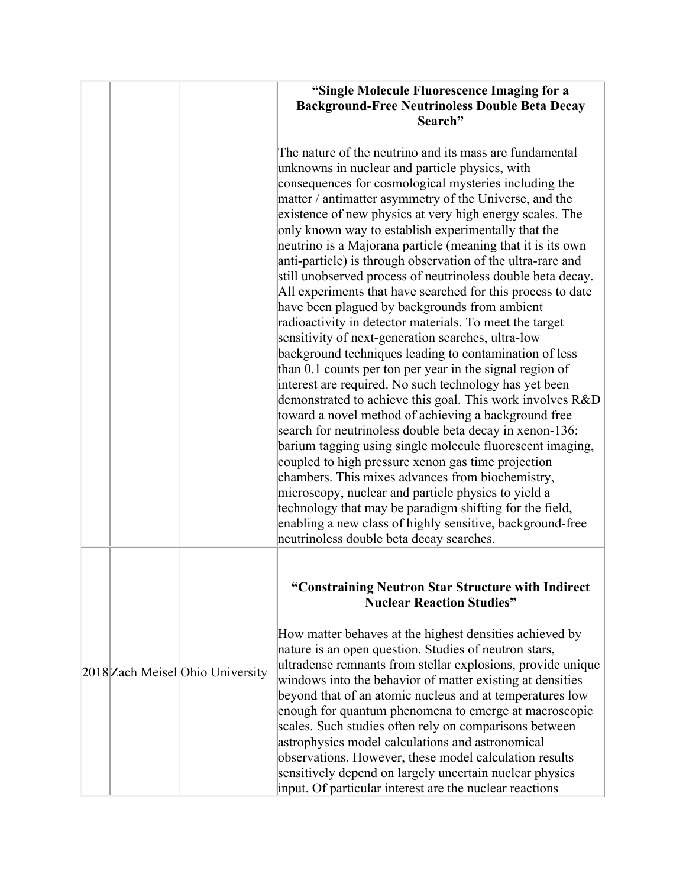|                                  | "Single Molecule Fluorescence Imaging for a<br><b>Background-Free Neutrinoless Double Beta Decay</b><br>Search"                                                                                                                                                                                                                                                                                                                                                                                                                                                                                                                                                                                                                                                                                                                                                                                                                                                                                                                                                                                                                                                                                                                                                                                                                                                                                                                                                                                                                                 |
|----------------------------------|-------------------------------------------------------------------------------------------------------------------------------------------------------------------------------------------------------------------------------------------------------------------------------------------------------------------------------------------------------------------------------------------------------------------------------------------------------------------------------------------------------------------------------------------------------------------------------------------------------------------------------------------------------------------------------------------------------------------------------------------------------------------------------------------------------------------------------------------------------------------------------------------------------------------------------------------------------------------------------------------------------------------------------------------------------------------------------------------------------------------------------------------------------------------------------------------------------------------------------------------------------------------------------------------------------------------------------------------------------------------------------------------------------------------------------------------------------------------------------------------------------------------------------------------------|
|                                  | The nature of the neutrino and its mass are fundamental<br>unknowns in nuclear and particle physics, with<br>consequences for cosmological mysteries including the<br>matter / antimatter asymmetry of the Universe, and the<br>existence of new physics at very high energy scales. The<br>only known way to establish experimentally that the<br>neutrino is a Majorana particle (meaning that it is its own<br>anti-particle) is through observation of the ultra-rare and<br>still unobserved process of neutrinoless double beta decay.<br>All experiments that have searched for this process to date<br>have been plagued by backgrounds from ambient<br>radioactivity in detector materials. To meet the target<br>sensitivity of next-generation searches, ultra-low<br>background techniques leading to contamination of less<br>than 0.1 counts per ton per year in the signal region of<br>interest are required. No such technology has yet been<br>demonstrated to achieve this goal. This work involves R&D<br>toward a novel method of achieving a background free<br>search for neutrinoless double beta decay in xenon-136:<br>barium tagging using single molecule fluorescent imaging,<br>coupled to high pressure xenon gas time projection<br>chambers. This mixes advances from biochemistry,<br>microscopy, nuclear and particle physics to yield a<br>technology that may be paradigm shifting for the field,<br>enabling a new class of highly sensitive, background-free<br>neutrinoless double beta decay searches. |
|                                  | "Constraining Neutron Star Structure with Indirect<br><b>Nuclear Reaction Studies"</b>                                                                                                                                                                                                                                                                                                                                                                                                                                                                                                                                                                                                                                                                                                                                                                                                                                                                                                                                                                                                                                                                                                                                                                                                                                                                                                                                                                                                                                                          |
| 2018 Zach Meisel Ohio University | How matter behaves at the highest densities achieved by<br>nature is an open question. Studies of neutron stars,<br>ultradense remnants from stellar explosions, provide unique<br>windows into the behavior of matter existing at densities<br>beyond that of an atomic nucleus and at temperatures low<br>enough for quantum phenomena to emerge at macroscopic<br>scales. Such studies often rely on comparisons between<br>astrophysics model calculations and astronomical<br>observations. However, these model calculation results<br>sensitively depend on largely uncertain nuclear physics<br>input. Of particular interest are the nuclear reactions                                                                                                                                                                                                                                                                                                                                                                                                                                                                                                                                                                                                                                                                                                                                                                                                                                                                                 |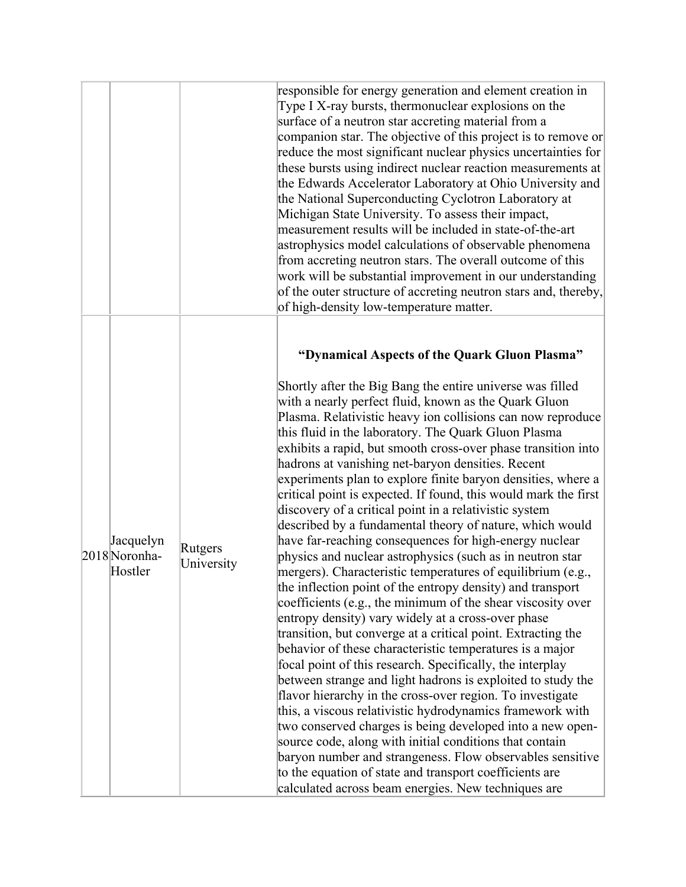|                                       |                       | responsible for energy generation and element creation in<br>Type I X-ray bursts, thermonuclear explosions on the<br>surface of a neutron star accreting material from a<br>companion star. The objective of this project is to remove or<br>reduce the most significant nuclear physics uncertainties for<br>these bursts using indirect nuclear reaction measurements at                                                                                                                                                                                                                                                                                                                                                                                                                                                                                                                                                                                                                                                                                                                                                                                                                                                                                                                                                                                                                                                                                                                                                                                                                                                                                                                 |
|---------------------------------------|-----------------------|--------------------------------------------------------------------------------------------------------------------------------------------------------------------------------------------------------------------------------------------------------------------------------------------------------------------------------------------------------------------------------------------------------------------------------------------------------------------------------------------------------------------------------------------------------------------------------------------------------------------------------------------------------------------------------------------------------------------------------------------------------------------------------------------------------------------------------------------------------------------------------------------------------------------------------------------------------------------------------------------------------------------------------------------------------------------------------------------------------------------------------------------------------------------------------------------------------------------------------------------------------------------------------------------------------------------------------------------------------------------------------------------------------------------------------------------------------------------------------------------------------------------------------------------------------------------------------------------------------------------------------------------------------------------------------------------|
|                                       |                       | the Edwards Accelerator Laboratory at Ohio University and<br>the National Superconducting Cyclotron Laboratory at<br>Michigan State University. To assess their impact,<br>measurement results will be included in state-of-the-art<br>astrophysics model calculations of observable phenomena<br>from accreting neutron stars. The overall outcome of this                                                                                                                                                                                                                                                                                                                                                                                                                                                                                                                                                                                                                                                                                                                                                                                                                                                                                                                                                                                                                                                                                                                                                                                                                                                                                                                                |
|                                       |                       | work will be substantial improvement in our understanding<br>of the outer structure of accreting neutron stars and, thereby,<br>of high-density low-temperature matter.                                                                                                                                                                                                                                                                                                                                                                                                                                                                                                                                                                                                                                                                                                                                                                                                                                                                                                                                                                                                                                                                                                                                                                                                                                                                                                                                                                                                                                                                                                                    |
|                                       |                       | "Dynamical Aspects of the Quark Gluon Plasma"                                                                                                                                                                                                                                                                                                                                                                                                                                                                                                                                                                                                                                                                                                                                                                                                                                                                                                                                                                                                                                                                                                                                                                                                                                                                                                                                                                                                                                                                                                                                                                                                                                              |
| Jacquelyn<br>2018 Noronha-<br>Hostler | Rutgers<br>University | Shortly after the Big Bang the entire universe was filled<br>with a nearly perfect fluid, known as the Quark Gluon<br>Plasma. Relativistic heavy ion collisions can now reproduce<br>this fluid in the laboratory. The Quark Gluon Plasma<br>exhibits a rapid, but smooth cross-over phase transition into<br>hadrons at vanishing net-baryon densities. Recent<br>experiments plan to explore finite baryon densities, where a<br>critical point is expected. If found, this would mark the first<br>discovery of a critical point in a relativistic system<br>described by a fundamental theory of nature, which would<br>have far-reaching consequences for high-energy nuclear<br>physics and nuclear astrophysics (such as in neutron star<br>mergers). Characteristic temperatures of equilibrium (e.g.,<br>the inflection point of the entropy density) and transport<br>coefficients (e.g., the minimum of the shear viscosity over<br>entropy density) vary widely at a cross-over phase<br>transition, but converge at a critical point. Extracting the<br>behavior of these characteristic temperatures is a major<br>focal point of this research. Specifically, the interplay<br>between strange and light hadrons is exploited to study the<br>flavor hierarchy in the cross-over region. To investigate<br>this, a viscous relativistic hydrodynamics framework with<br>two conserved charges is being developed into a new open-<br>source code, along with initial conditions that contain<br>baryon number and strangeness. Flow observables sensitive<br>to the equation of state and transport coefficients are<br>calculated across beam energies. New techniques are |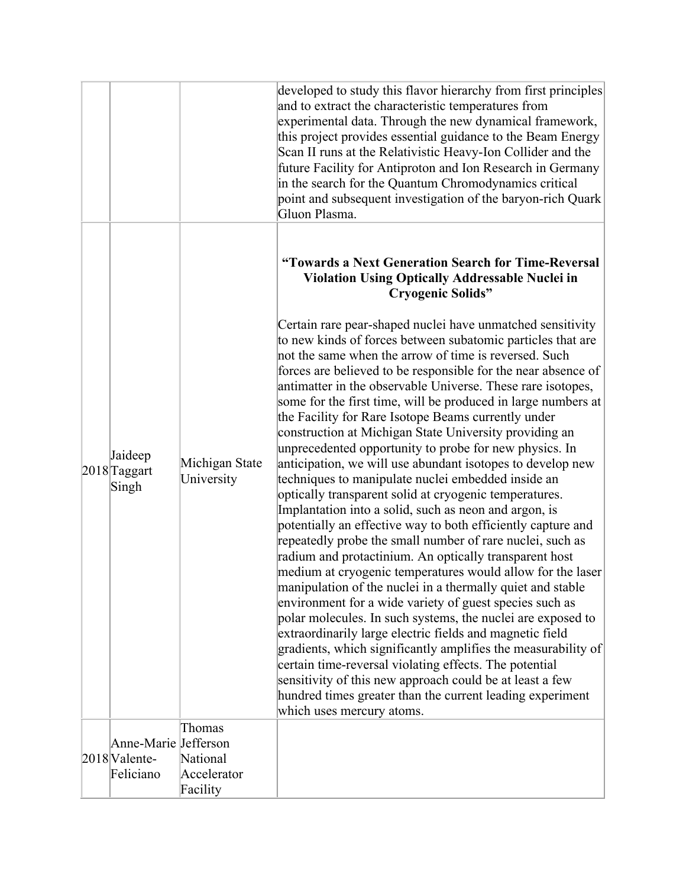|  |                                  |                              | developed to study this flavor hierarchy from first principles<br>and to extract the characteristic temperatures from<br>experimental data. Through the new dynamical framework,<br>this project provides essential guidance to the Beam Energy<br>Scan II runs at the Relativistic Heavy-Ion Collider and the<br>future Facility for Antiproton and Ion Research in Germany<br>in the search for the Quantum Chromodynamics critical<br>point and subsequent investigation of the baryon-rich Quark<br>Gluon Plasma.                                                                                                                                                                                                                                                                                                                                                                                                                                                                                                                                                                                                                                                                                                                                                                                                                                                                                                                                                                                                                                                                           |
|--|----------------------------------|------------------------------|-------------------------------------------------------------------------------------------------------------------------------------------------------------------------------------------------------------------------------------------------------------------------------------------------------------------------------------------------------------------------------------------------------------------------------------------------------------------------------------------------------------------------------------------------------------------------------------------------------------------------------------------------------------------------------------------------------------------------------------------------------------------------------------------------------------------------------------------------------------------------------------------------------------------------------------------------------------------------------------------------------------------------------------------------------------------------------------------------------------------------------------------------------------------------------------------------------------------------------------------------------------------------------------------------------------------------------------------------------------------------------------------------------------------------------------------------------------------------------------------------------------------------------------------------------------------------------------------------|
|  |                                  |                              | "Towards a Next Generation Search for Time-Reversal<br><b>Violation Using Optically Addressable Nuclei in</b><br><b>Cryogenic Solids"</b>                                                                                                                                                                                                                                                                                                                                                                                                                                                                                                                                                                                                                                                                                                                                                                                                                                                                                                                                                                                                                                                                                                                                                                                                                                                                                                                                                                                                                                                       |
|  | Jaideep<br>2018 Taggart<br>Singh | Michigan State<br>University | Certain rare pear-shaped nuclei have unmatched sensitivity<br>to new kinds of forces between subatomic particles that are<br>not the same when the arrow of time is reversed. Such<br>forces are believed to be responsible for the near absence of<br>antimatter in the observable Universe. These rare isotopes,<br>some for the first time, will be produced in large numbers at<br>the Facility for Rare Isotope Beams currently under<br>construction at Michigan State University providing an<br>unprecedented opportunity to probe for new physics. In<br>anticipation, we will use abundant isotopes to develop new<br>techniques to manipulate nuclei embedded inside an<br>optically transparent solid at cryogenic temperatures.<br>Implantation into a solid, such as neon and argon, is<br>potentially an effective way to both efficiently capture and<br>repeatedly probe the small number of rare nuclei, such as<br>radium and protactinium. An optically transparent host<br>medium at cryogenic temperatures would allow for the laser<br>manipulation of the nuclei in a thermally quiet and stable<br>environment for a wide variety of guest species such as<br>polar molecules. In such systems, the nuclei are exposed to<br>extraordinarily large electric fields and magnetic field<br>gradients, which significantly amplifies the measurability of<br>certain time-reversal violating effects. The potential<br>sensitivity of this new approach could be at least a few<br>hundred times greater than the current leading experiment<br>which uses mercury atoms. |
|  | Anne-Marie Jefferson             | Thomas                       |                                                                                                                                                                                                                                                                                                                                                                                                                                                                                                                                                                                                                                                                                                                                                                                                                                                                                                                                                                                                                                                                                                                                                                                                                                                                                                                                                                                                                                                                                                                                                                                                 |
|  | 2018 Valente-                    | National                     |                                                                                                                                                                                                                                                                                                                                                                                                                                                                                                                                                                                                                                                                                                                                                                                                                                                                                                                                                                                                                                                                                                                                                                                                                                                                                                                                                                                                                                                                                                                                                                                                 |
|  | Feliciano                        | Accelerator<br>Facility      |                                                                                                                                                                                                                                                                                                                                                                                                                                                                                                                                                                                                                                                                                                                                                                                                                                                                                                                                                                                                                                                                                                                                                                                                                                                                                                                                                                                                                                                                                                                                                                                                 |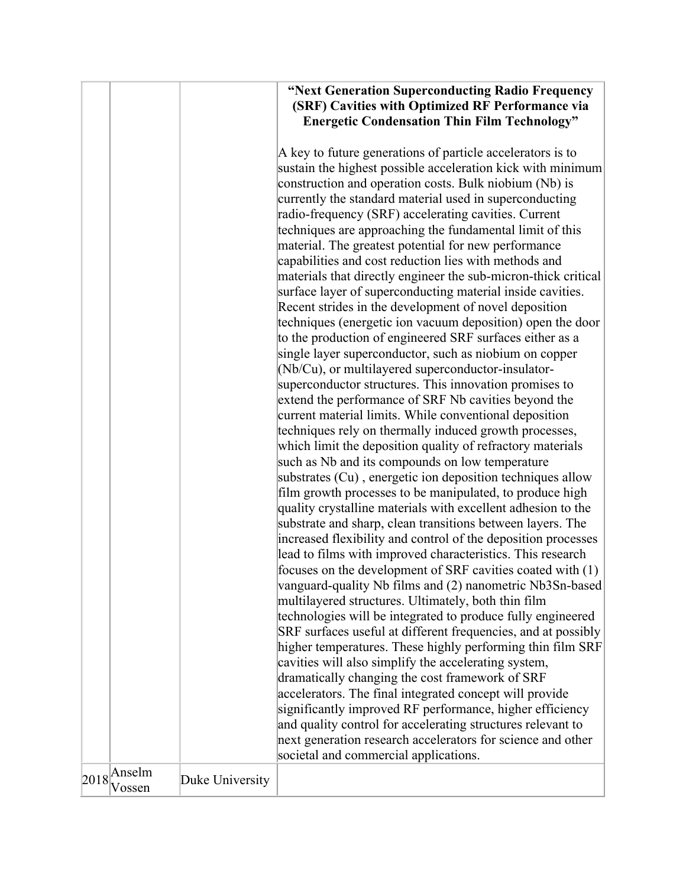| "Next Generation Superconducting Radio Frequency    |
|-----------------------------------------------------|
| (SRF) Cavities with Optimized RF Performance via    |
| <b>Energetic Condensation Thin Film Technology"</b> |

A key to future generations of particle accelerators is to sustain the highest possible acceleration kick with minimum construction and operation costs. Bulk niobium (Nb) is currently the standard material used in superconducting radio-frequency (SRF) accelerating cavities. Current techniques are approaching the fundamental limit of this material. The greatest potential for new performance capabilities and cost reduction lies with methods and materials that directly engineer the sub-micron-thick critical surface layer of superconducting material inside cavities. Recent strides in the development of novel deposition techniques (energetic ion vacuum deposition) open the door to the production of engineered SRF surfaces either as a single layer superconductor, such as niobium on copper (Nb/Cu), or multilayered superconductor-insulatorsuperconductor structures. This innovation promises to extend the performance of SRF Nb cavities beyond the current material limits. While conventional deposition techniques rely on thermally induced growth processes, which limit the deposition quality of refractory materials such as Nb and its compounds on low temperature substrates (Cu) , energetic ion deposition techniques allow film growth processes to be manipulated, to produce high quality crystalline materials with excellent adhesion to the substrate and sharp, clean transitions between layers. The increased flexibility and control of the deposition processes lead to films with improved characteristics. This research focuses on the development of SRF cavities coated with (1) vanguard-quality Nb films and (2) nanometric Nb3Sn-based multilayered structures. Ultimately, both thin film technologies will be integrated to produce fully engineered SRF surfaces useful at different frequencies, and at possibly higher temperatures. These highly performing thin film SRF cavities will also simplify the accelerating system, dramatically changing the cost framework of SRF accelerators. The final integrated concept will provide significantly improved RF performance, higher efficiency and quality control for accelerating structures relevant to next generation research accelerators for science and other societal and commercial applications.

 $2018 \sqrt{\text{Answer}}$ <br>Vossen

Duke University